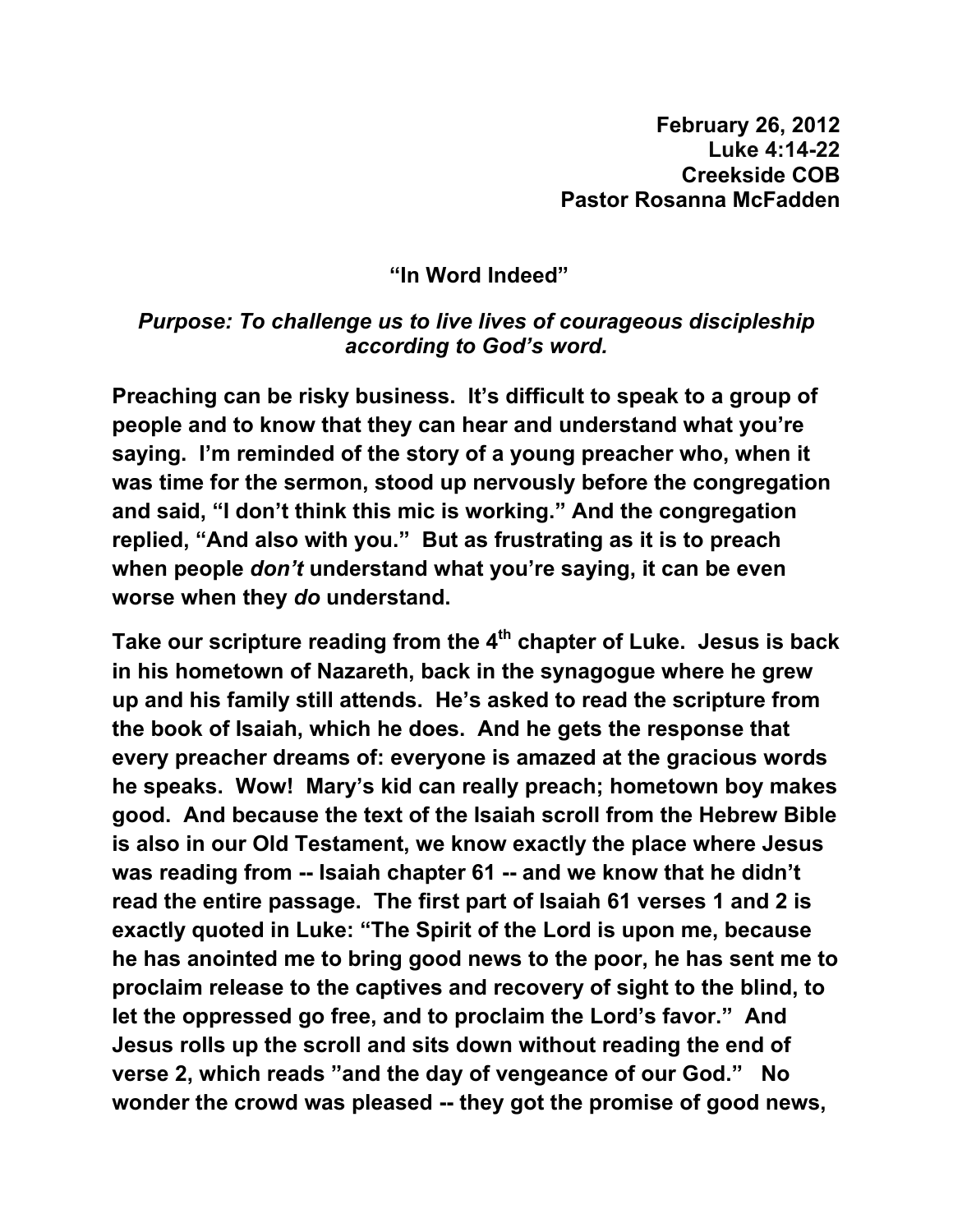**"In Word Indeed"** 

## *Purpose: To challenge us to live lives of courageous discipleship according to God's word.*

**Preaching can be risky business. It's difficult to speak to a group of people and to know that they can hear and understand what you're saying. I'm reminded of the story of a young preacher who, when it was time for the sermon, stood up nervously before the congregation and said, "I don't think this mic is working." And the congregation replied, "And also with you." But as frustrating as it is to preach when people** *don't* **understand what you're saying, it can be even worse when they** *do* **understand.** 

**Take our scripture reading from the 4th chapter of Luke. Jesus is back in his hometown of Nazareth, back in the synagogue where he grew up and his family still attends. He's asked to read the scripture from the book of Isaiah, which he does. And he gets the response that every preacher dreams of: everyone is amazed at the gracious words he speaks. Wow! Mary's kid can really preach; hometown boy makes good. And because the text of the Isaiah scroll from the Hebrew Bible is also in our Old Testament, we know exactly the place where Jesus was reading from -- Isaiah chapter 61 -- and we know that he didn't read the entire passage. The first part of Isaiah 61 verses 1 and 2 is exactly quoted in Luke: "The Spirit of the Lord is upon me, because he has anointed me to bring good news to the poor, he has sent me to proclaim release to the captives and recovery of sight to the blind, to let the oppressed go free, and to proclaim the Lord's favor." And Jesus rolls up the scroll and sits down without reading the end of verse 2, which reads "and the day of vengeance of our God." No wonder the crowd was pleased -- they got the promise of good news,**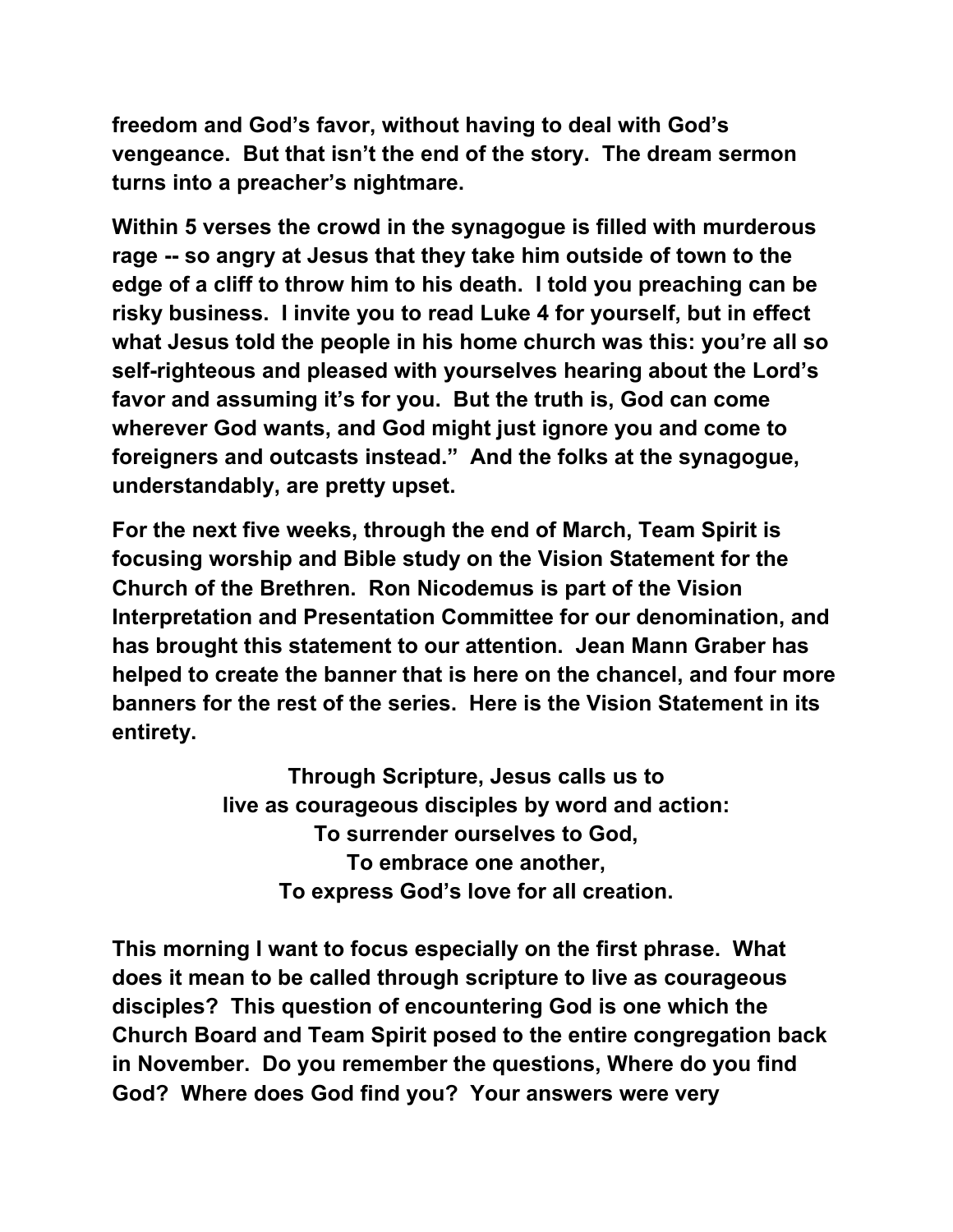**freedom and God's favor, without having to deal with God's vengeance. But that isn't the end of the story. The dream sermon turns into a preacher's nightmare.** 

**Within 5 verses the crowd in the synagogue is filled with murderous rage -- so angry at Jesus that they take him outside of town to the edge of a cliff to throw him to his death. I told you preaching can be risky business. I invite you to read Luke 4 for yourself, but in effect what Jesus told the people in his home church was this: you're all so self-righteous and pleased with yourselves hearing about the Lord's favor and assuming it's for you. But the truth is, God can come wherever God wants, and God might just ignore you and come to foreigners and outcasts instead." And the folks at the synagogue, understandably, are pretty upset.** 

**For the next five weeks, through the end of March, Team Spirit is focusing worship and Bible study on the Vision Statement for the Church of the Brethren. Ron Nicodemus is part of the Vision Interpretation and Presentation Committee for our denomination, and has brought this statement to our attention. Jean Mann Graber has helped to create the banner that is here on the chancel, and four more banners for the rest of the series. Here is the Vision Statement in its entirety.** 

> **Through Scripture, Jesus calls us to live as courageous disciples by word and action: To surrender ourselves to God, To embrace one another, To express God's love for all creation.**

**This morning I want to focus especially on the first phrase. What does it mean to be called through scripture to live as courageous disciples? This question of encountering God is one which the Church Board and Team Spirit posed to the entire congregation back in November. Do you remember the questions, Where do you find God? Where does God find you? Your answers were very**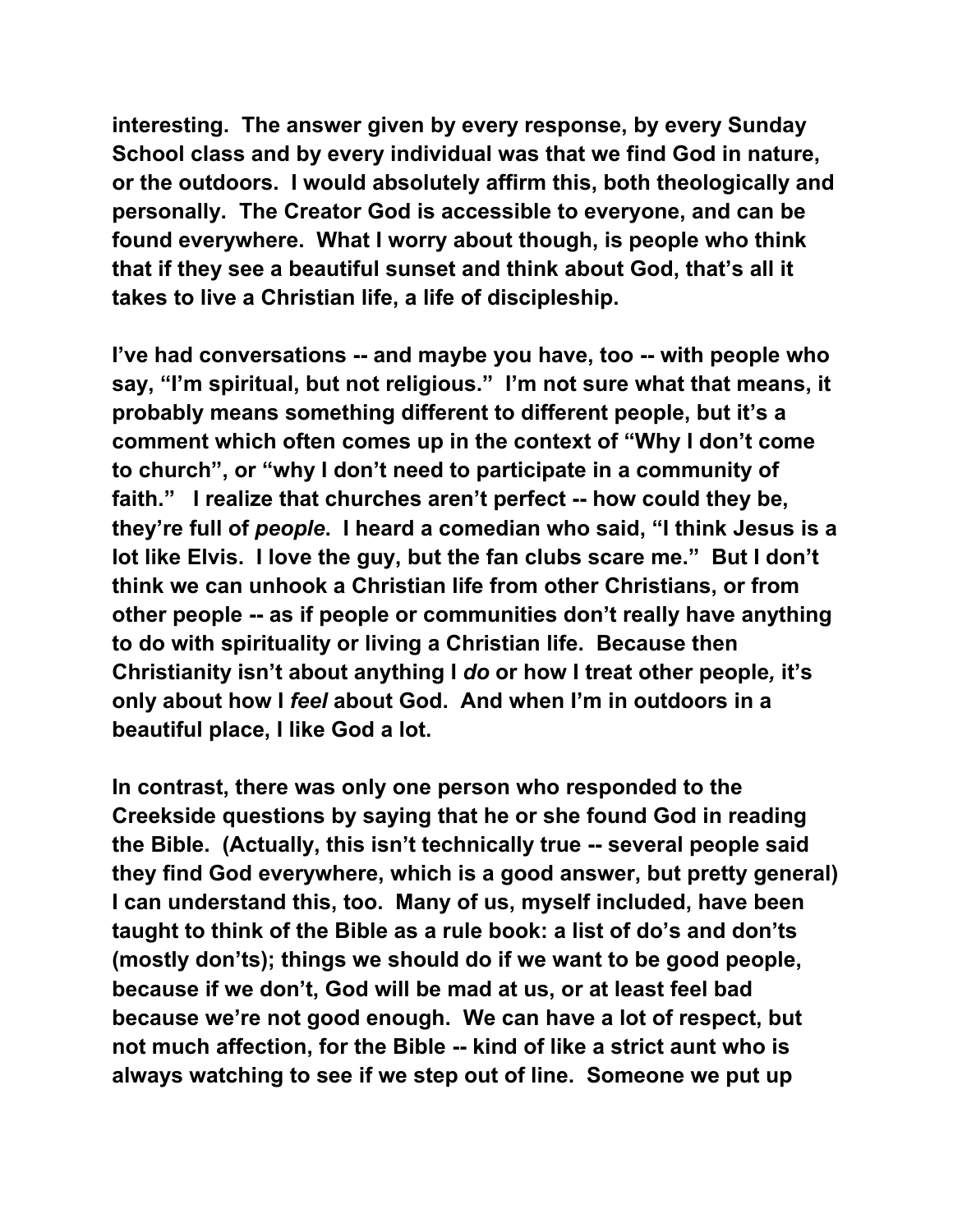**interesting. The answer given by every response, by every Sunday School class and by every individual was that we find God in nature, or the outdoors. I would absolutely affirm this, both theologically and personally. The Creator God is accessible to everyone, and can be found everywhere. What I worry about though, is people who think that if they see a beautiful sunset and think about God, that's all it takes to live a Christian life, a life of discipleship.** 

**I've had conversations -- and maybe you have, too -- with people who say, "I'm spiritual, but not religious." I'm not sure what that means, it probably means something different to different people, but it's a comment which often comes up in the context of "Why I don't come to church", or "why I don't need to participate in a community of faith." I realize that churches aren't perfect -- how could they be, they're full of** *people***. I heard a comedian who said, "I think Jesus is a lot like Elvis. I love the guy, but the fan clubs scare me." But I don't think we can unhook a Christian life from other Christians, or from other people -- as if people or communities don't really have anything to do with spirituality or living a Christian life. Because then Christianity isn't about anything I** *do* **or how I treat other people***,* **it's only about how I** *feel* **about God. And when I'm in outdoors in a beautiful place, I like God a lot.** 

**In contrast, there was only one person who responded to the Creekside questions by saying that he or she found God in reading the Bible. (Actually, this isn't technically true -- several people said they find God everywhere, which is a good answer, but pretty general) I can understand this, too. Many of us, myself included, have been taught to think of the Bible as a rule book: a list of do's and don'ts (mostly don'ts); things we should do if we want to be good people, because if we don't, God will be mad at us, or at least feel bad because we're not good enough. We can have a lot of respect, but not much affection, for the Bible -- kind of like a strict aunt who is always watching to see if we step out of line. Someone we put up**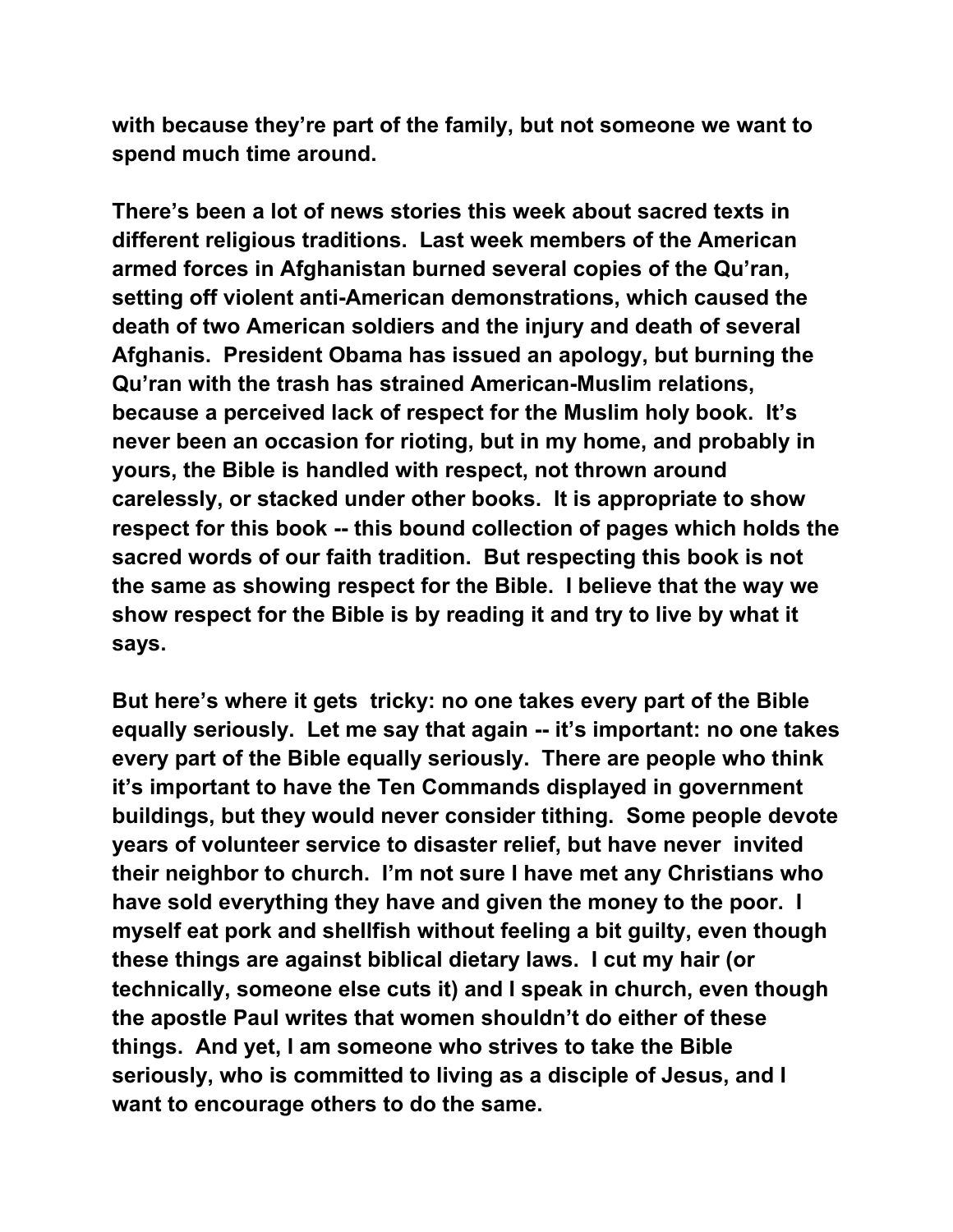**with because they're part of the family, but not someone we want to spend much time around.** 

**There's been a lot of news stories this week about sacred texts in different religious traditions. Last week members of the American armed forces in Afghanistan burned several copies of the Qu'ran, setting off violent anti-American demonstrations, which caused the death of two American soldiers and the injury and death of several Afghanis. President Obama has issued an apology, but burning the Qu'ran with the trash has strained American-Muslim relations, because a perceived lack of respect for the Muslim holy book. It's never been an occasion for rioting, but in my home, and probably in yours, the Bible is handled with respect, not thrown around carelessly, or stacked under other books. It is appropriate to show respect for this book -- this bound collection of pages which holds the sacred words of our faith tradition. But respecting this book is not the same as showing respect for the Bible. I believe that the way we show respect for the Bible is by reading it and try to live by what it says.** 

**But here's where it gets tricky: no one takes every part of the Bible equally seriously. Let me say that again -- it's important: no one takes every part of the Bible equally seriously. There are people who think it's important to have the Ten Commands displayed in government buildings, but they would never consider tithing. Some people devote years of volunteer service to disaster relief, but have never invited their neighbor to church. I'm not sure I have met any Christians who have sold everything they have and given the money to the poor. I myself eat pork and shellfish without feeling a bit guilty, even though these things are against biblical dietary laws. I cut my hair (or technically, someone else cuts it) and I speak in church, even though the apostle Paul writes that women shouldn't do either of these things. And yet, I am someone who strives to take the Bible seriously, who is committed to living as a disciple of Jesus, and I want to encourage others to do the same.**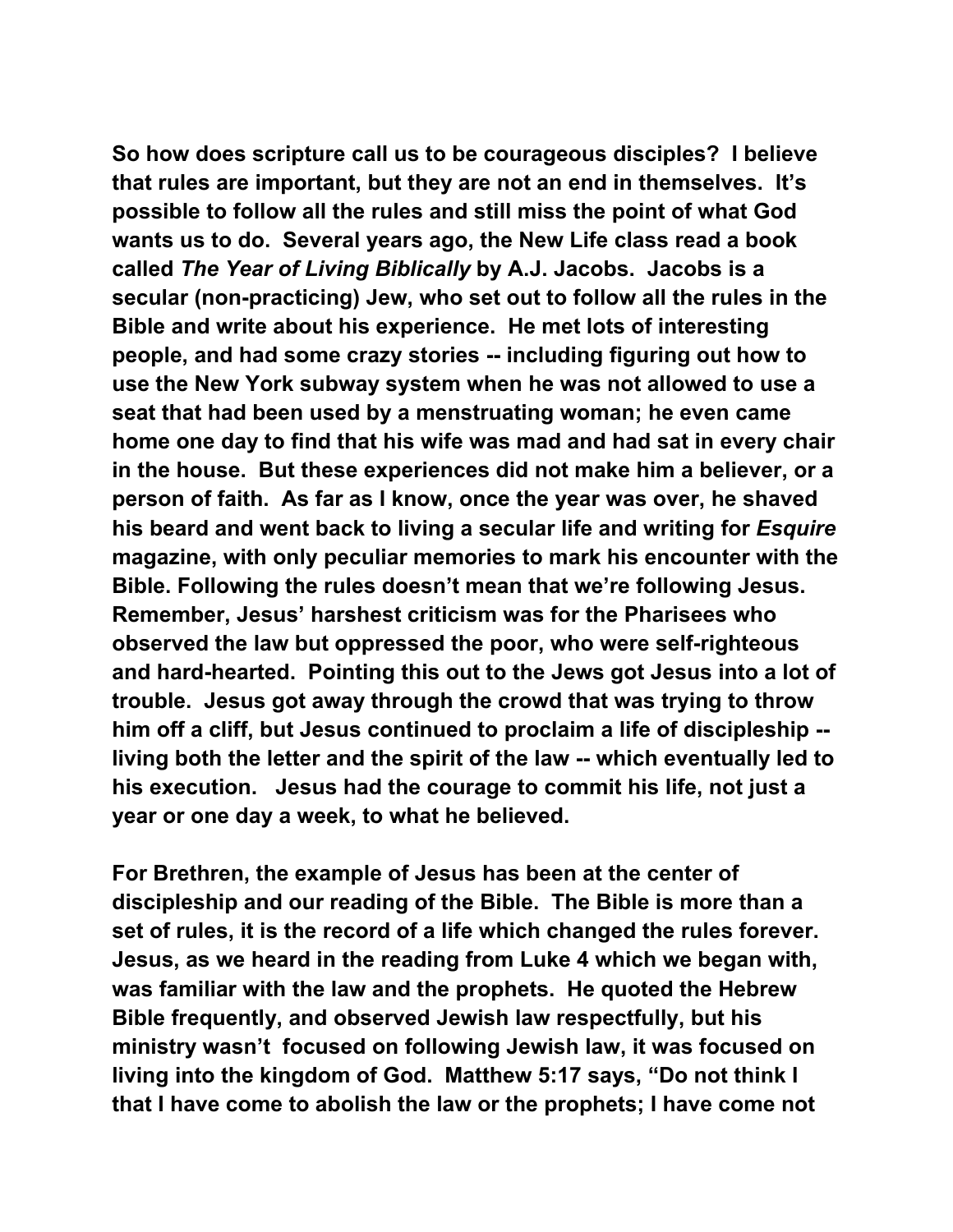**So how does scripture call us to be courageous disciples? I believe that rules are important, but they are not an end in themselves. It's possible to follow all the rules and still miss the point of what God wants us to do. Several years ago, the New Life class read a book called** *The Year of Living Biblically* **by A.J. Jacobs. Jacobs is a secular (non-practicing) Jew, who set out to follow all the rules in the Bible and write about his experience. He met lots of interesting people, and had some crazy stories -- including figuring out how to use the New York subway system when he was not allowed to use a seat that had been used by a menstruating woman; he even came home one day to find that his wife was mad and had sat in every chair in the house. But these experiences did not make him a believer, or a person of faith. As far as I know, once the year was over, he shaved his beard and went back to living a secular life and writing for** *Esquire* **magazine, with only peculiar memories to mark his encounter with the Bible. Following the rules doesn't mean that we're following Jesus. Remember, Jesus' harshest criticism was for the Pharisees who observed the law but oppressed the poor, who were self-righteous and hard-hearted. Pointing this out to the Jews got Jesus into a lot of trouble. Jesus got away through the crowd that was trying to throw him off a cliff, but Jesus continued to proclaim a life of discipleship - living both the letter and the spirit of the law -- which eventually led to his execution. Jesus had the courage to commit his life, not just a year or one day a week, to what he believed.** 

**For Brethren, the example of Jesus has been at the center of discipleship and our reading of the Bible. The Bible is more than a set of rules, it is the record of a life which changed the rules forever. Jesus, as we heard in the reading from Luke 4 which we began with, was familiar with the law and the prophets. He quoted the Hebrew Bible frequently, and observed Jewish law respectfully, but his ministry wasn't focused on following Jewish law, it was focused on living into the kingdom of God. Matthew 5:17 says, "Do not think I that I have come to abolish the law or the prophets; I have come not**